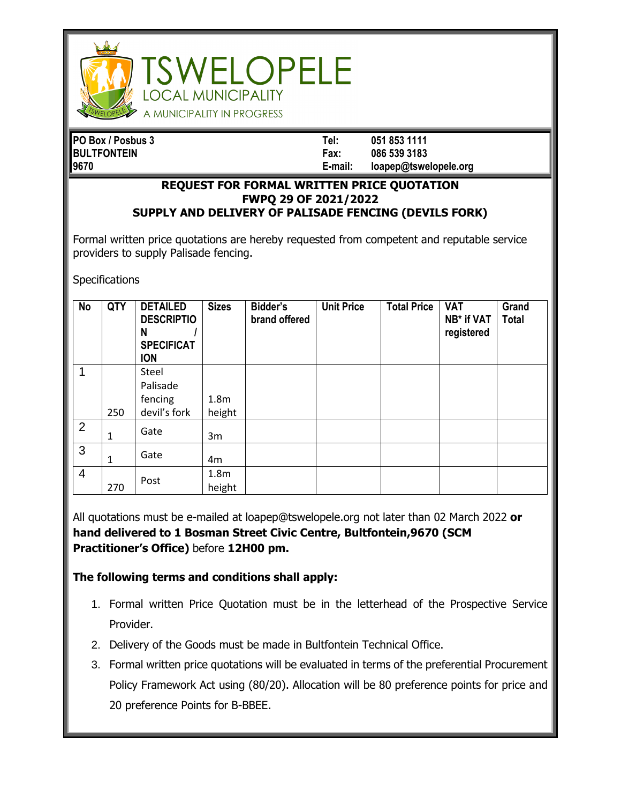

## **SWELOPELE OCAL MUNICIPALITY** A MUNICIPALITY IN PROGRESS

| PO Box / Posbus 3  | Tel:    | 051 853 1111          |
|--------------------|---------|-----------------------|
| <b>BULTFONTEIN</b> | Fax:    | 086 539 3183          |
| 9670               | E-mail: | loapep@tswelopele.org |

## **REQUEST FOR FORMAL WRITTEN PRICE QUOTATION FWPQ 29 OF 2021/2022 SUPPLY AND DELIVERY OF PALISADE FENCING (DEVILS FORK)**

Formal written price quotations are hereby requested from competent and reputable service providers to supply Palisade fencing.

**Specifications** 

| <b>No</b>      | QTY | <b>DETAILED</b><br><b>DESCRIPTIO</b><br>N<br><b>SPECIFICAT</b><br><b>ION</b> | <b>Sizes</b>               | Bidder's<br>brand offered | <b>Unit Price</b> | <b>Total Price</b> | <b>VAT</b><br>NB* if VAT<br>registered | Grand<br><b>Total</b> |
|----------------|-----|------------------------------------------------------------------------------|----------------------------|---------------------------|-------------------|--------------------|----------------------------------------|-----------------------|
| 1              | 250 | Steel<br>Palisade<br>fencing<br>devil's fork                                 | 1.8 <sub>m</sub><br>height |                           |                   |                    |                                        |                       |
| 2              | 1   | Gate                                                                         | 3m                         |                           |                   |                    |                                        |                       |
| 3              | 1   | Gate                                                                         | 4m                         |                           |                   |                    |                                        |                       |
| $\overline{4}$ | 270 | Post                                                                         | 1.8 <sub>m</sub><br>height |                           |                   |                    |                                        |                       |

All quotations must be e-mailed at loapep@tswelopele.org not later than 02 March 2022 **or hand delivered to 1 Bosman Street Civic Centre, Bultfontein,9670 (SCM Practitioner's Office)** before **12H00 pm.**

## **The following terms and conditions shall apply:**

- 1. Formal written Price Quotation must be in the letterhead of the Prospective Service Provider.
- 2. Delivery of the Goods must be made in Bultfontein Technical Office.
- 3. Formal written price quotations will be evaluated in terms of the preferential Procurement Policy Framework Act using (80/20). Allocation will be 80 preference points for price and 20 preference Points for B-BBEE.